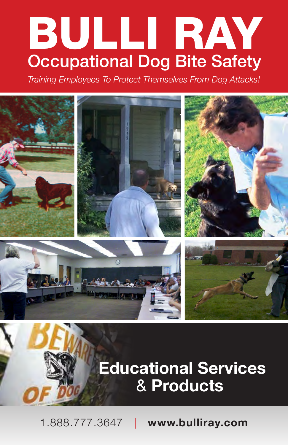### BULLI RAY **Occupational Dog Bite Safety**

*Training Employees To Protect Themselves From Dog Attacks!*



### **Educational Services**  & **Products**

1.888.777.3647 | **www.bulliray.com**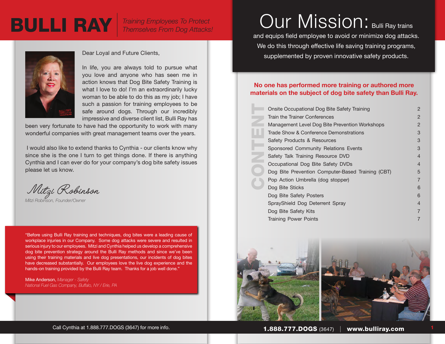



#### Dear Loyal and Future Clients,

In life, you are always told to pursue what you love and anyone who has seen me in action knows that Dog Bite Safety Training is what I love to do! I'm an extraordinarily lucky woman to be able to do this as my job; I have such a passion for training employees to be safe around dogs. Through our incredibly impressive and diverse client list, Bulli Ray has

been very fortunate to have had the opportunity to work with many wonderful companies with great management teams over the years.

 I would also like to extend thanks to Cynthia - our clients know why since she is the one I turn to get things done. If there is anything Cynthia and I can ever do for your company's dog bite safety issues please let us know.

Mitzi Robinson

*Mitzi Robinson, Founder/Owner*

"Before using Bulli Ray training and techniques, dog bites were a leading cause of workplace injuries in our Company. Some dog attacks were severe and resulted in serious injury to our employees. Mitzi and Cynthia helped us develop a comprehensive dog bite prevention strategy around the Bulli Ray methods and since we've been using their training materials and live dog presentations, our incidents of dog bites have decreased substantially. Our employees love the live dog experience and the hands-on training provided by the Bulli Ray team. Thanks for a job well done."

Mike Anderson, *Manager - Safety National Fuel Gas Company, Buffalo, NY / Erie, PA*

### Our Mission: Bulli Ray trains

and equips field employee to avoid or minimize dog attacks. We do this through effective life saving training programs, supplemented by proven innovative safety products.

#### **No one has performed more training or authored more materials on the subject of dog bite safety than Bulli Ray.**

| Onsite Occupational Dog Bite Safety Training      | $\overline{2}$ |
|---------------------------------------------------|----------------|
| Train the Trainer Conferences                     | 2              |
| Management Level Dog Bite Prevention Workshops    | $\overline{2}$ |
| Trade Show & Conference Demonstrations            | 3              |
| Safety Products & Resources                       | 3              |
| Sponsored Community Relations Events              | 3              |
| Safety Talk Training Resource DVD                 | $\overline{4}$ |
| Occupational Dog Bite Safety DVDs                 | $\overline{4}$ |
| Dog Bite Prevention Computer-Based Training (CBT) | 5              |
| Pop Action Umbrella (dog stopper)                 | $\overline{7}$ |
| Dog Bite Sticks                                   | 6              |
| Dog Bite Safety Posters                           | 6              |
| SprayShield Dog Deterrent Spray                   | 4              |
| Dog Bite Safety Kits                              | $\overline{7}$ |
| <b>Training Power Points</b>                      | 7              |



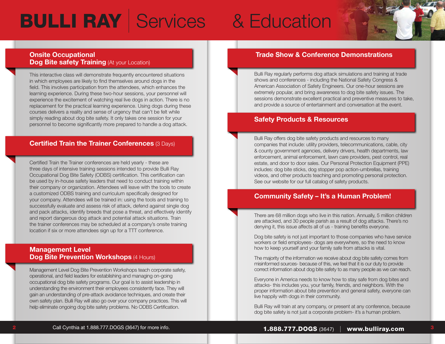# **BULLI RAY | Services & Education**

#### **Onsite Occupational Dog Bite safety Training (At your Location)**

This interactive class will demonstrate frequently encountered situations in which employees are likely to find themselves around dogs in the field. This involves participation from the attendees, which enhances the learning experience. During these two-hour sessions, your personnel will experience the excitement of watching real live dogs in action. There is no replacement for the practical learning experience. Using dogs during these courses delivers a reality and sense of urgency that can't be felt while simply reading about dog bite safety. It only takes one session for your personnel to become significantly more prepared to handle a dog attack.

#### **Certified Train the Trainer Conferences** (3 Days)

Certified Train the Trainer conferences are held yearly - these are three days of intensive training sessions intended to provide Bulli Ray Occupational Dog Bite Safety (ODBS) certification. This certification can be used by in-house safety leaders that need to conduct training within their company or organization. Attendees will leave with the tools to create a customized ODBS training and curriculum specifically designed for your company. Attendees will be trained in: using the tools and training to successfully evaluate and assess risk of attack, defend against single dog and pack attacks, identify breeds that pose a threat, and effectively identify and report dangerous dog attack and potential attack situations. Train the trainer conferences may be scheduled at a company's onsite training location if six or more attendees sign up for a TTT conference.

#### **Management Level Dog Bite Prevention Workshops** (4 Hours)

Management Level Dog Bite Prevention Workshops teach corporate safety, operational, and field leaders for establishing and managing on-going occupational dog bite safety programs. Our goal is to assist leadership in understanding the environment their employees consistently face. They will gain an understanding of pre-attack avoidance techniques, and create their own safety plan. Bulli Ray will also go over your company practices. This will help eliminate ongoing dog bite safety problems. No ODBS Certification.

#### **Trade Show & Conference Demonstrations**

Bulli Ray regularly performs dog attack simulations and training at trade shows and conferences - including the National Safety Congress & American Association of Safety Engineers. Our one-hour sessions are extremely popular, and bring awareness to dog bite safety issues. The sessions demonstrate excellent practical and preventive measures to take, and provide a source of entertainment and conversation at the event.

#### **Safety Products & Resources**

Bulli Ray offers dog bite safety products and resources to many companies that include: utility providers, telecommunications, cable, city & county government agencies, delivery drivers, health departments, law enforcement, animal enforcement, lawn care providers, pest control, real estate, and door to door sales. Our Personal Protection Equipment (PPE) includes: dog bite sticks, dog stopper pop action-umbrellas, training videos, and other products teaching and promoting personal protection. See our website for our full catalog of safety products.

#### **Community Safety – It's a Human Problem!**

There are 68 million dogs who live in this nation. Annually, 5 million children are attacked, and 30 people parish as a result of dog attacks. There's no denying it, this issue affects all of us - training benefits everyone.

Dog bite safety is not just important to those companies who have service workers or field employees- dogs are everywhere, so the need to know how to keep yourself and your family safe from attacks is vital.

The majority of the information we receive about dog bite safety comes from misinformed sources- because of this, we feel that it is our duty to provide correct information about dog bite safety to as many people as we can reach.

Everyone in America needs to know how to stay safe from dog bites and attacks- this includes you, your family, friends, and neighbors. With the proper information about bite prevention and general safety, everyone can live happily with dogs in their community.

Bulli Ray will train at any company, or present at any conference, because dog bite safety is not just a corporate problem- it's a human problem.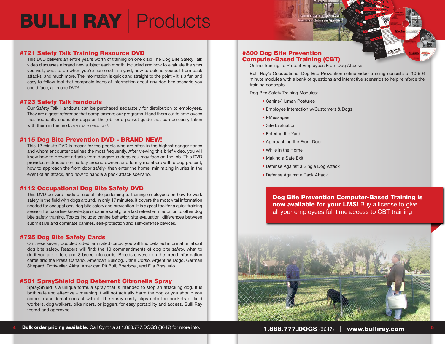### BULLI RAY | Products

#### #721 Safety Talk Training Resource DVD

This DVD delivers an entire year's worth of training on one disc! The Dog Bite Safety Talk video discusses a brand new subject each month, included are: how to evaluate the sites you visit, what to do when you're cornered in a yard, how to defend yourself from pack attacks, and much more. The information is quick and straight to the point – it is a fun and easy to follow tool that compacts loads of information about any dog bite scenario you could face, all in one DVD!

#### #723 Safety Talk handouts

Our Safety Talk Handouts can be purchased separately for distribution to employees. They are a great reference that complements our programs. Hand them out to employees that frequently encounter dogs on the job for a pocket guide that can be easily taken with them in the field. *Sold as a pack of 6.*

#### #115 Dog Bite Prevention DVD - BRAND NEW!

This 12 minute DVD is meant for the people who are often in the highest danger zones and whom encounter canines the most frequently. After viewing this brief video, you will know how to prevent attacks from dangerous dogs you may face on the job. This DVD provides instruction on: safety around owners and family members with a dog present, how to approach the front door safely- then enter the home, minimizing injuries in the event of an attack, and how to handle a pack attack scenario.

#### #112 Occupational Dog Bite Safety DVD

This DVD delivers loads of useful info pertaining to training employees on how to work safely in the field with dogs around. In only 17 minutes, it covers the most vital information needed for occupational dog bite safety and prevention. It is a great tool for a quick training session for base line knowledge of canine safety, or a fast refresher in addition to other dog bite safety training. Topics include: canine behavior, site evaluation, differences between submissive and dominate canines, self-protection and self-defense devices.

#### #725 Dog Bite Safety Cards

On these seven, doubled sided laminated cards, you will find detailed information about dog bite safety. Readers will find: the 10 commandments of dog bite safety, what to do if you are bitten, and 8 breed info cards. Breeds covered on the breed information cards are: the Presa Canario, American Bulldog, Cane Corso, Argentine Dogo, German Shepard, Rottweiler, Akita, American Pit Bull, Boerboel, and Fila Brasilerio.

#### #501 SprayShield Dog Deterrent Citronella Spray

SprayShield is a unique formula spray that is intended to stop an attacking dog. It is both safe and effective – meaning it will not actually harm the dog or you should you come in accidental contact with it. The spray easily clips onto the pockets of field workers, dog walkers, bike riders, or joggers for easy portability and access. Bulli Ray tested and approved.

#### #800 Dog Bite Prevention Computer-Based Training (CBT)

Online Training To Protect Employees From Dog Attacks!

Bulli Ray's Occupational Dog Bite Prevention online video training consists of 10 5-6 minute modules with a bank of questions and interactive scenarios to help reinforce the training concepts.

Dog Bite Safety Training Modules:

- Canine/Human Postures
- Employee Interaction w/Customers & Dogs
- I-Messages
- Site Evaluation
- Entering the Yard
- Approaching the Front Door
- While in the Home
- Making a Safe Exit
- Defense Against a Single Dog Attack
- Defense Against a Pack Attack

Dog Bite Prevention Computer-Based Training is now available for your LMS! Buy a license to give all your employees full time access to CBT training

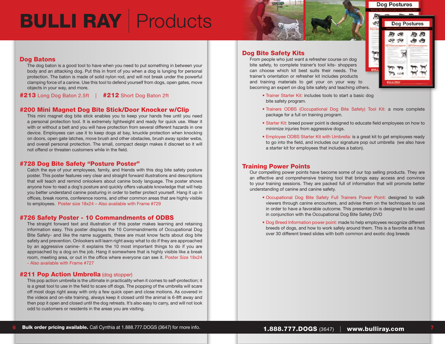## BULLI RAY | Products



#### Dog Batons

The dog baton is a good tool to have when you need to put something in between your body and an attacking dog. Put this in front of you when a dog is lunging for personal protection. The baton is made of solid nylon rod, and will not break under the powerful clamping force of a canine. Use this tool to defend yourself from dogs, open gates, move objects in your way, and more.

#213 Long Dog Baton 2.5ft | #212 Short Dog Baton 2ft

#### #200 Mini Magnet Dog Bite Stick/Door Knocker w/Clip

This mini magnet dog bite stick enables you to keep your hands free until you need a personal protection tool. It is extremely lightweight and ready for quick use. Wear it with or without a belt and you will have protection from several different hazards in one device. Employees can use it to keep dogs at bay, knuckle protection when knocking on doors, open gate latches, move brush and other obstacles, brush away spider webs, and overall personal protection. The small, compact design makes it discreet so it will not offend or threaten customers while in the field.

#### #728 Dog Bite Safety "Posture Poster"

Catch the eye of your employees, family, and friends with this dog bite safety posture poster. This poster features very clear and straight forward illustrations and descriptions that will teach and remind onlookers about canine body language. The poster shows anyone how to read a dog's posture and quickly offers valuable knowledge that will help you better understand canine posturing in order to better protect yourself. Hang it up in offices, break rooms, conference rooms, and other common areas that are highly visible to employees. Poster size 18x24 – Also available with Frame #729

#### #726 Safety Poster - 10 Commandments of ODBS

The straight forward text and illustration of this poster makes learning and retaining information easy. This poster displays the 10 Commandments of Occupational Dog Bite Safety- and like the name suggests, these are must know facts about dog bite safety and prevention. Onlookers will learn right away what to do if they are approached by an aggressive canine- it explains the 10 most important things to do if you are approached by a dog on the job. Hang it somewhere that is highly visible like a break room, meeting area, or out in the office where everyone can see it. Poster Size 18x24 - Also available with Frame #727

#### **#211 Pop Action Umbrella** (dog stopper)

This pop action umbrella is the ultimate in practicality when it comes to self-protection; it is a great tool to use in the field to scare off dogs. The popping of the umbrella will scare off most dogs right away with only a few quick open and close motions. As covered in the videos and on-site training, always keep it closed until the animal is 6-8ft away and then pop it open and closed until the dog retreats. It's also easy to carry, and will not look odd to customers or residents in the areas you are visiting.

#### Dog Bite Safety Kits

From people who just want a refresher course on dog bite safety, to complete trainer's tool kits- shoppers can choose which kit best suits their needs. The trainer's orientation or refresher kit includes products and training materials to get your on your way to becoming an expert on dog bite safety and teaching others.



- Trainer Starter Kit: includes tools to start a basic dog bite safety program.
- Trainers ODBS (Occupational Dog Bite Safety) Tool Kit: a more complete package for a full on training program.
- Starter Kit: breed power point is designed to educate field employees on how to minimize injuries from aggressive dogs.
- Employee ODBS Starter Kit with Umbrella: is a great kit to get employees ready to go into the field, and includes our signature pop out umbrella (we also have a starter kit for employees that includes a baton).

#### Training Power Points

Our compelling power points have become some of our top selling products. They are an effective and comprehensive training tool that brings easy access and convince to your training sessions. They are packed full of information that will promote better understanding of canine and canine safety.

- Occupational Dog Bite Safety Full Trainers Power Point: designed to walk viewers through canine encounters, and advise them on the techniques to use in order to have a favorable outcome. This presentation is designed to be used in conjunction with the Occupational Dog Bite Safety DVD
- Dog Breed Information power point: made to help employees recognize different breeds of dogs, and how to work safely around them. This is a favorite as it has over 30 different breed slides with both common and exotic dog breeds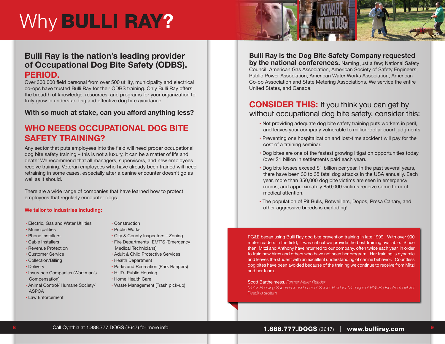### Why BULLI RAY**?**

#### **Bulli Ray is the nation's leading provider of Occupational Dog Bite Safety (ODBS). PERIOD.**

Over 300,000 field personal from over 500 utility, municipality and electrical co-ops have trusted Bulli Ray for their ODBS training. Only Bulli Ray offers the breadth of knowledge, resources, and programs for your organization to truly grow in understanding and effective dog bite avoidance.

#### **With so much at stake, can you afford anything less?**

#### **WHO NEEDS OCCUPATIONAL DOG BITE SAFETY TRAINING?**

Any sector that puts employees into the field will need proper occupational dog bite safety training – this is not a luxury, it can be a matter of life and death! We recommend that all managers, supervisors, and new employees receive training. Veteran employees who have already been trained will need retraining in some cases, especially after a canine encounter doesn't go as well as it should.

There are a wide range of companies that have learned how to protect employees that regularly encounter dogs.

#### **We tailor to industries including:**

- Electric, Gas and Water Utilities
- Municipalities
- Phone Installers
- Cable Installers
- Revenue Protection
- Customer Service
- Collection/Billing
- Delivery
- Insurance Companies (Workman's Compensation)
- Animal Control/ Humane Society/ ASPCA
- Law Enforcement
- Construction
- Public Works
- City & County Inspectors Zoning
- Fire Departments EMT'S (Emergency
- Medical Technicians)
- Adult & Child Protective Services
- Health Department
- Parks and Recreation (Park Rangers)
- HUD- Public Housing
- Home Health Care
- Waste Management (Trash pick-up)

**Bulli Ray is the Dog Bite Safety Company requested by the national conferences.** Naming just a few; National Safety

Council, American Gas Association, American Society of Safety Engineers, Public Power Association, American Water Works Association, American Co-op Association and State Metering Associations. We service the entire United States, and Canada.

#### **CONSIDER THIS:** If you think you can get by without occupational dog bite safety, consider this:

- Not providing adequate dog bite safety training puts workers in peril, and leaves your company vulnerable to million-dollar court judgments.
- Preventing one hospitalization and lost-time accident will pay for the cost of a training seminar.
- Dog bites are one of the fastest growing litigation opportunities today (over \$1 billion in settlements paid each year).
- Dog bite losses exceed \$1 billion per year. In the past several years, there have been 30 to 35 fatal dog attacks in the USA annually. Each year, more than 350,000 dog bite victims are seen in emergency rooms, and approximately 850,000 victims receive some form of medical attention.
- The population of Pit Bulls, Rotweillers, Dogos, Presa Canary, and other aggressive breeds is exploding!

PG&E began using Bulli Ray dog bite prevention training in late 1999. With over 900 meter readers in the field, it was critical we provide the best training available. Since then, Mitzi and Anthony have returned to our company, often twice each year, in order to train new hires and others who have not seen her program. Her training is dynamic and leaves the student with an excellent understanding of canine behavior. Countless dog bites have been avoided because of the training we continue to receive from Mitzi and her team.

Scott Barthelmess, *Former Meter Reader Meter Reading Supervisor and current Senior Product Manager of PG&E's Electronic Meter* 

*Reading system*